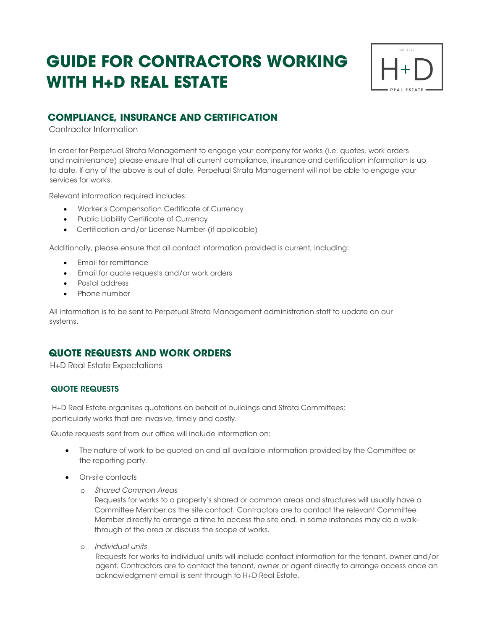# **GUIDE FOR CONTRACTORS WORKING WITH H+D REAL ESTATE**



## **COMPLIANCE, INSURANCE AND CERTIFICATION**

Contractor Information

In order for Perpetual Strata Management to engage your company for works (i.e. quotes, work orders and maintenance) please ensure that all current compliance, insurance and certification information is up to date. If any of the above is out of date, Perpetual Strata Management will not be able to engage your services for works.

Relevant information required includes:

- Worker's Compensation Certificate of Currency
- Public Liability Certificate of Currency
- Certification and/or License Number (if applicable)

Additionally, please ensure that all contact information provided is current, including:

- Email for remittance
- Email for quote requests and/or work orders
- Postal address
- Phone number

All information is to be sent to Perpetual Strata Management administration staff to update on our systems.

### **QUOTE REQUESTS AND WORK ORDERS**

H+D Real Estate Expectations

#### QUOTE REQUESTS

H+D Real Estate organises quotations on behalf of buildings and Strata Committees; particularly works that are invasive, timely and costly.

Quote requests sent from our office will include information on:

- The nature of work to be quoted on and all available information provided by the Committee or the reporting party.
- **•** On-site contacts
	- o *Shared Common Areas*

Requests for works to a property's shared or common areas and structures will usually have a Committee Member as the site contact. Contractors are to contact the relevant Committee Member directly to arrange a time to access the site and, in some instances may do a walkthrough of the area or discuss the scope of works.

o *Individual units*

Requests for works to individual units will include contact information for the tenant, owner and/or agent. Contractors are to contact the tenant, owner or agent directly to arrange access once an acknowledgment email is sent through to H+D Real Estate.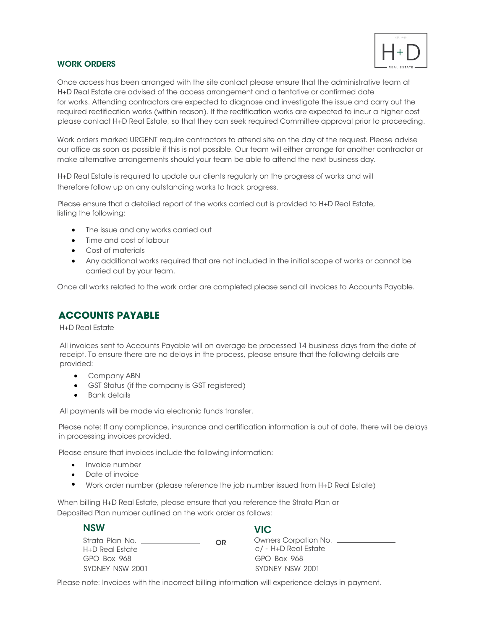

#### WORK ORDERS

Once access has been arranged with the site contact please ensure that the administrative team at for works. Attending contractors are expected to diagnose and investigate the issue and carry out the required rectification works (within reason). If the rectification works are expected to incur a higher cost please contact H+D Real Estate, so that they can seek required Committee approval prior to proceeding. H+D Real Estate are advised of the access arrangement and a tentative or confirmed date

Work orders marked URGENT require contractors to attend site on the day of the request. Please advise our office as soon as possible if this is not possible. Our team will either arrange for another contractor or make alternative arrangements should your team be able to attend the next business day.

therefore follow up on any outstanding works to track progress. H+D Real Estate is required to update our clients regularly on the progress of works and will

listing the following: Please ensure that a detailed report of the works carried out is provided to H+D Real Estate,

- The issue and any works carried out
- Time and cost of labour
- Cost of materials
- Any additional works required that are not included in the initial scope of works or cannot be carried out by your team.

Once all works related to the work order are completed please send all invoices to Accounts Payable.

## **ACCOUNTS PAYABLE**

H+D Real Estate

All invoices sent to Accounts Payable will on average be processed 14 business days from the date of receipt. To ensure there are no delays in the process, please ensure that the following details are provided:

- Company ABN
- GST Status (if the company is GST registered)
- **•** Bank details

All payments will be made via electronic funds transfer.

Please note: If any compliance, insurance and certification information is out of date, there will be delays in processing invoices provided.

Please ensure that invoices include the following information:

- Invoice number
- Date of invoice
- $\bullet$ Work order number (please reference the job number issued from H+D Real Estate)

Deposited Plan number outlined on the work order as follows: When billing H+D Real Estate, please ensure that you reference the Strata Plan or

| <b>NSW</b>                                                                     |    | <b>VIC</b>                    |
|--------------------------------------------------------------------------------|----|-------------------------------|
| Strata Plan No.<br><u>and the state of the state of the state of the state</u> | OR | Owners Corpation No. ________ |
| H+D Real Estate                                                                |    | c/ - H+D Real Estate          |
| $GPO$ $Box$ $968$                                                              |    | GPO Box 968                   |
| SYDNEY NSW 2001                                                                |    | SYDNEY NSW 2001               |

Please note: Invoices with the incorrect billing information will experience delays in payment.